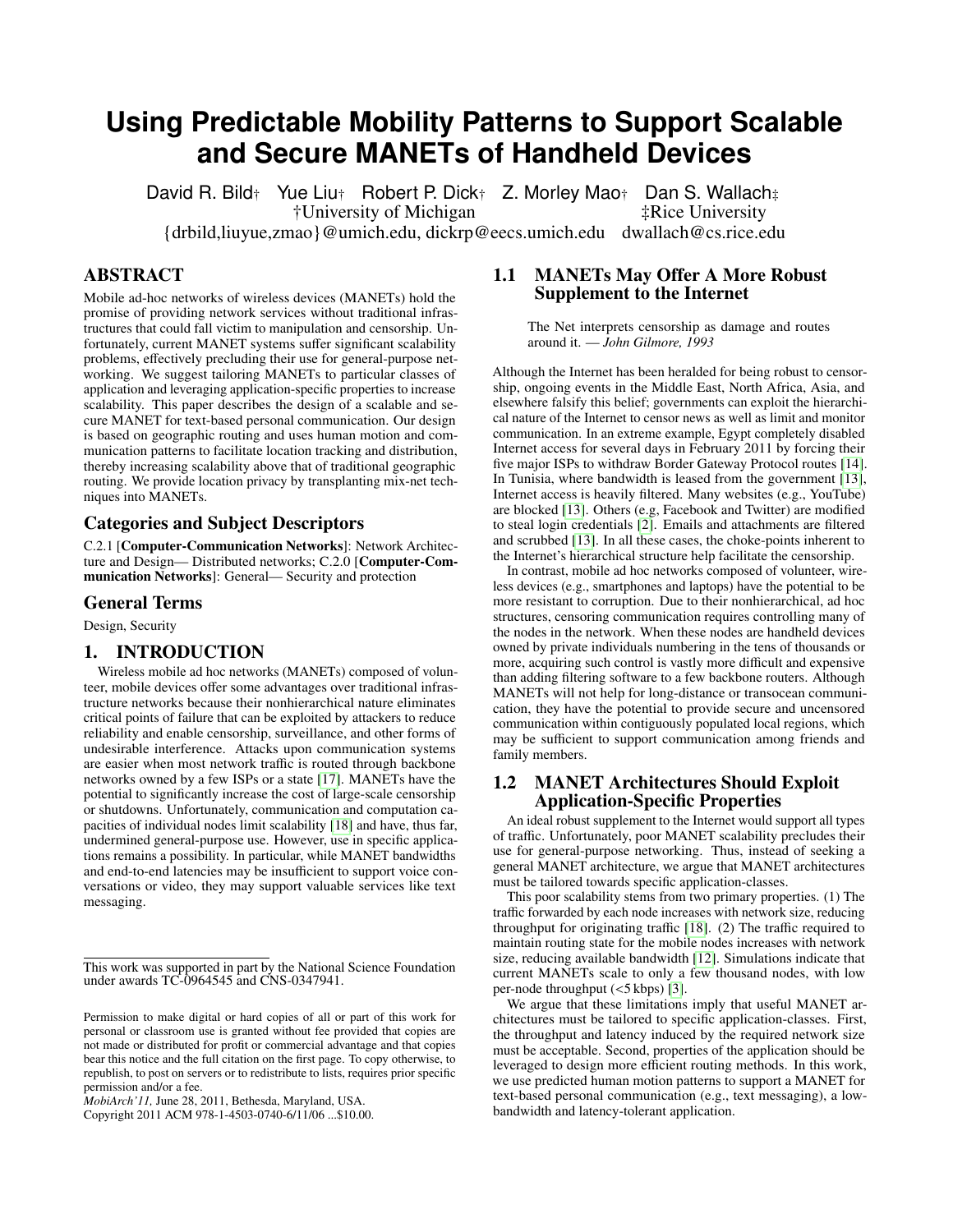# **Using Predictable Mobility Patterns to Support Scalable and Secure MANETs of Handheld Devices**

David R. Bild† Yue Liu† Robert P. Dick† Z. Morley Mao† Dan S. Wallach $\ddagger$ University of Michigan  $\ddagger$ Rice University †University of Michigan {drbild,liuyue,zmao}@umich.edu, dickrp@eecs.umich.edu dwallach@cs.rice.edu

# ABSTRACT

Mobile ad-hoc networks of wireless devices (MANETs) hold the promise of providing network services without traditional infrastructures that could fall victim to manipulation and censorship. Unfortunately, current MANET systems suffer significant scalability problems, effectively precluding their use for general-purpose networking. We suggest tailoring MANETs to particular classes of application and leveraging application-specific properties to increase scalability. This paper describes the design of a scalable and secure MANET for text-based personal communication. Our design is based on geographic routing and uses human motion and communication patterns to facilitate location tracking and distribution, thereby increasing scalability above that of traditional geographic routing. We provide location privacy by transplanting mix-net techniques into MANETs.

#### Categories and Subject Descriptors

C.2.1 [Computer-Communication Networks]: Network Architecture and Design— Distributed networks; C.2.0 [Computer-Communication Networks]: General— Security and protection

# General Terms

Design, Security

### 1. INTRODUCTION

Wireless mobile ad hoc networks (MANETs) composed of volunteer, mobile devices offer some advantages over traditional infrastructure networks because their nonhierarchical nature eliminates critical points of failure that can be exploited by attackers to reduce reliability and enable censorship, surveillance, and other forms of undesirable interference. Attacks upon communication systems are easier when most network traffic is routed through backbone networks owned by a few ISPs or a state [\[17\]](#page-5-0). MANETs have the potential to significantly increase the cost of large-scale censorship or shutdowns. Unfortunately, communication and computation capacities of individual nodes limit scalability [\[18\]](#page-5-1) and have, thus far, undermined general-purpose use. However, use in specific applications remains a possibility. In particular, while MANET bandwidths and end-to-end latencies may be insufficient to support voice conversations or video, they may support valuable services like text messaging.

Copyright 2011 ACM 978-1-4503-0740-6/11/06 ...\$10.00.

# 1.1 MANETs May Offer A More Robust Supplement to the Internet

The Net interprets censorship as damage and routes around it. — *John Gilmore, 1993*

Although the Internet has been heralded for being robust to censorship, ongoing events in the Middle East, North Africa, Asia, and elsewhere falsify this belief; governments can exploit the hierarchical nature of the Internet to censor news as well as limit and monitor communication. In an extreme example, Egypt completely disabled Internet access for several days in February 2011 by forcing their five major ISPs to withdraw Border Gateway Protocol routes [\[14\]](#page-5-2). In Tunisia, where bandwidth is leased from the government [\[13\]](#page-5-3), Internet access is heavily filtered. Many websites (e.g., YouTube) are blocked [\[13\]](#page-5-3). Others (e.g, Facebook and Twitter) are modified to steal login credentials [\[2\]](#page-5-4). Emails and attachments are filtered and scrubbed [\[13\]](#page-5-3). In all these cases, the choke-points inherent to the Internet's hierarchical structure help facilitate the censorship.

In contrast, mobile ad hoc networks composed of volunteer, wireless devices (e.g., smartphones and laptops) have the potential to be more resistant to corruption. Due to their nonhierarchical, ad hoc structures, censoring communication requires controlling many of the nodes in the network. When these nodes are handheld devices owned by private individuals numbering in the tens of thousands or more, acquiring such control is vastly more difficult and expensive than adding filtering software to a few backbone routers. Although MANETs will not help for long-distance or transocean communication, they have the potential to provide secure and uncensored communication within contiguously populated local regions, which may be sufficient to support communication among friends and family members.

# 1.2 MANET Architectures Should Exploit Application-Specific Properties

An ideal robust supplement to the Internet would support all types of traffic. Unfortunately, poor MANET scalability precludes their use for general-purpose networking. Thus, instead of seeking a general MANET architecture, we argue that MANET architectures must be tailored towards specific application-classes.

This poor scalability stems from two primary properties. (1) The traffic forwarded by each node increases with network size, reducing throughput for originating traffic [\[18\]](#page-5-1). (2) The traffic required to maintain routing state for the mobile nodes increases with network size, reducing available bandwidth [\[12\]](#page-5-5). Simulations indicate that current MANETs scale to only a few thousand nodes, with low per-node throughput (<5 kbps) [\[3\]](#page-5-6).

We argue that these limitations imply that useful MANET architectures must be tailored to specific application-classes. First, the throughput and latency induced by the required network size must be acceptable. Second, properties of the application should be leveraged to design more efficient routing methods. In this work, we use predicted human motion patterns to support a MANET for text-based personal communication (e.g., text messaging), a lowbandwidth and latency-tolerant application.

This work was supported in part by the National Science Foundation under awards TC-0964545 and CNS-0347941.

Permission to make digital or hard copies of all or part of this work for personal or classroom use is granted without fee provided that copies are not made or distributed for profit or commercial advantage and that copies bear this notice and the full citation on the first page. To copy otherwise, to republish, to post on servers or to redistribute to lists, requires prior specific permission and/or a fee.

*MobiArch'11,* June 28, 2011, Bethesda, Maryland, USA.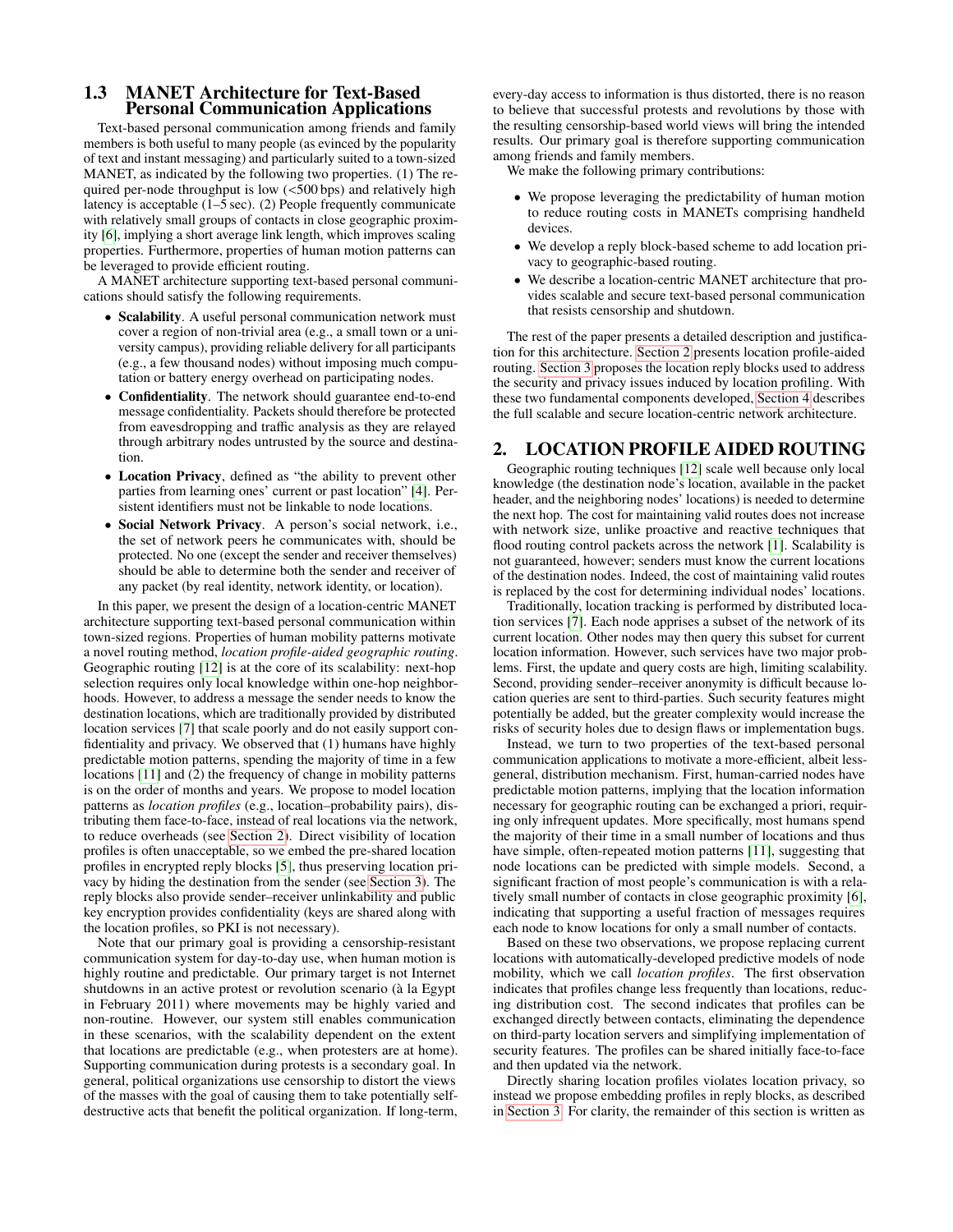#### 1.3 MANET Architecture for Text-Based Personal Communication Applications

Text-based personal communication among friends and family members is both useful to many people (as evinced by the popularity of text and instant messaging) and particularly suited to a town-sized MANET, as indicated by the following two properties. (1) The required per-node throughput is low (<500 bps) and relatively high latency is acceptable (1–5 sec). (2) People frequently communicate with relatively small groups of contacts in close geographic proximity [\[6\]](#page-5-7), implying a short average link length, which improves scaling properties. Furthermore, properties of human motion patterns can be leveraged to provide efficient routing.

A MANET architecture supporting text-based personal communications should satisfy the following requirements.

- Scalability. A useful personal communication network must cover a region of non-trivial area (e.g., a small town or a university campus), providing reliable delivery for all participants (e.g., a few thousand nodes) without imposing much computation or battery energy overhead on participating nodes.
- Confidentiality. The network should guarantee end-to-end message confidentiality. Packets should therefore be protected from eavesdropping and traffic analysis as they are relayed through arbitrary nodes untrusted by the source and destination.
- Location Privacy, defined as "the ability to prevent other parties from learning ones' current or past location" [\[4\]](#page-5-8). Persistent identifiers must not be linkable to node locations.
- Social Network Privacy. A person's social network, i.e., the set of network peers he communicates with, should be protected. No one (except the sender and receiver themselves) should be able to determine both the sender and receiver of any packet (by real identity, network identity, or location).

In this paper, we present the design of a location-centric MANET architecture supporting text-based personal communication within town-sized regions. Properties of human mobility patterns motivate a novel routing method, *location profile-aided geographic routing*. Geographic routing [\[12\]](#page-5-5) is at the core of its scalability: next-hop selection requires only local knowledge within one-hop neighborhoods. However, to address a message the sender needs to know the destination locations, which are traditionally provided by distributed location services [\[7\]](#page-5-9) that scale poorly and do not easily support confidentiality and privacy. We observed that (1) humans have highly predictable motion patterns, spending the majority of time in a few locations [\[11\]](#page-5-10) and (2) the frequency of change in mobility patterns is on the order of months and years. We propose to model location patterns as *location profiles* (e.g., location–probability pairs), distributing them face-to-face, instead of real locations via the network, to reduce overheads (see [Section 2\)](#page-1-0). Direct visibility of location profiles is often unacceptable, so we embed the pre-shared location profiles in encrypted reply blocks [\[5\]](#page-5-11), thus preserving location privacy by hiding the destination from the sender (see [Section 3\)](#page-3-0). The reply blocks also provide sender–receiver unlinkability and public key encryption provides confidentiality (keys are shared along with the location profiles, so PKI is not necessary).

Note that our primary goal is providing a censorship-resistant communication system for day-to-day use, when human motion is highly routine and predictable. Our primary target is not Internet shutdowns in an active protest or revolution scenario (à la Egypt in February 2011) where movements may be highly varied and non-routine. However, our system still enables communication in these scenarios, with the scalability dependent on the extent that locations are predictable (e.g., when protesters are at home). Supporting communication during protests is a secondary goal. In general, political organizations use censorship to distort the views of the masses with the goal of causing them to take potentially selfdestructive acts that benefit the political organization. If long-term, every-day access to information is thus distorted, there is no reason to believe that successful protests and revolutions by those with the resulting censorship-based world views will bring the intended results. Our primary goal is therefore supporting communication among friends and family members.

We make the following primary contributions:

- We propose leveraging the predictability of human motion to reduce routing costs in MANETs comprising handheld devices.
- We develop a reply block-based scheme to add location privacy to geographic-based routing.
- We describe a location-centric MANET architecture that provides scalable and secure text-based personal communication that resists censorship and shutdown.

The rest of the paper presents a detailed description and justification for this architecture. [Section 2](#page-1-0) presents location profile-aided routing. [Section 3](#page-3-0) proposes the location reply blocks used to address the security and privacy issues induced by location profiling. With these two fundamental components developed, [Section 4](#page-4-0) describes the full scalable and secure location-centric network architecture.

# <span id="page-1-0"></span>2. LOCATION PROFILE AIDED ROUTING

Geographic routing techniques [\[12\]](#page-5-5) scale well because only local knowledge (the destination node's location, available in the packet header, and the neighboring nodes' locations) is needed to determine the next hop. The cost for maintaining valid routes does not increase with network size, unlike proactive and reactive techniques that flood routing control packets across the network [\[1\]](#page-5-12). Scalability is not guaranteed, however; senders must know the current locations of the destination nodes. Indeed, the cost of maintaining valid routes is replaced by the cost for determining individual nodes' locations.

Traditionally, location tracking is performed by distributed location services [\[7\]](#page-5-9). Each node apprises a subset of the network of its current location. Other nodes may then query this subset for current location information. However, such services have two major problems. First, the update and query costs are high, limiting scalability. Second, providing sender–receiver anonymity is difficult because location queries are sent to third-parties. Such security features might potentially be added, but the greater complexity would increase the risks of security holes due to design flaws or implementation bugs.

Instead, we turn to two properties of the text-based personal communication applications to motivate a more-efficient, albeit lessgeneral, distribution mechanism. First, human-carried nodes have predictable motion patterns, implying that the location information necessary for geographic routing can be exchanged a priori, requiring only infrequent updates. More specifically, most humans spend the majority of their time in a small number of locations and thus have simple, often-repeated motion patterns [\[11\]](#page-5-10), suggesting that node locations can be predicted with simple models. Second, a significant fraction of most people's communication is with a relatively small number of contacts in close geographic proximity [\[6\]](#page-5-7), indicating that supporting a useful fraction of messages requires each node to know locations for only a small number of contacts.

Based on these two observations, we propose replacing current locations with automatically-developed predictive models of node mobility, which we call *location profiles*. The first observation indicates that profiles change less frequently than locations, reducing distribution cost. The second indicates that profiles can be exchanged directly between contacts, eliminating the dependence on third-party location servers and simplifying implementation of security features. The profiles can be shared initially face-to-face and then updated via the network.

Directly sharing location profiles violates location privacy, so instead we propose embedding profiles in reply blocks, as described in [Section 3.](#page-3-0) For clarity, the remainder of this section is written as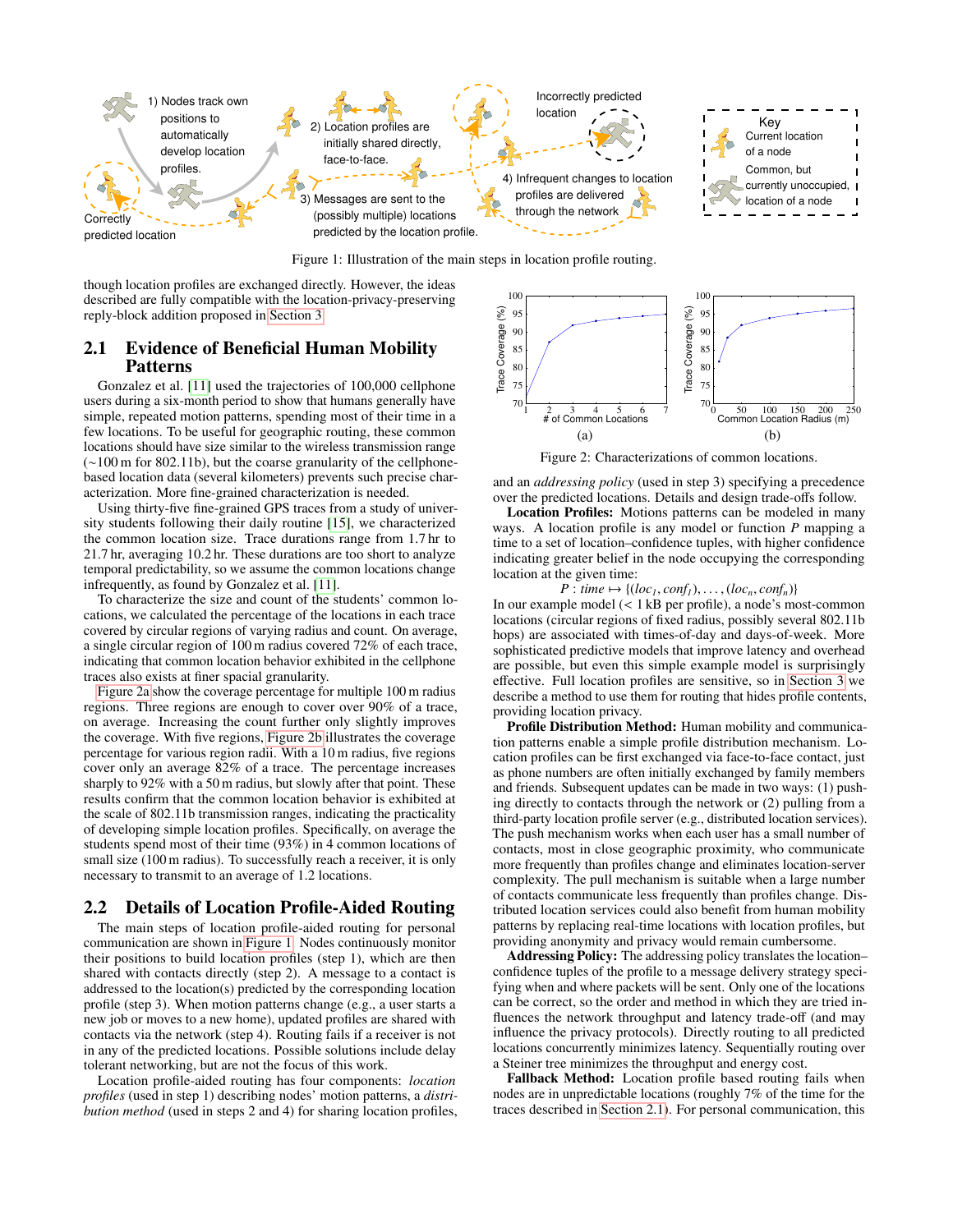<span id="page-2-2"></span>

Figure 1: Illustration of the main steps in location profile routing.

though location profiles are exchanged directly. However, the ideas described are fully compatible with the location-privacy-preserving reply-block addition proposed in [Section 3.](#page-3-0)

# <span id="page-2-3"></span>2.1 Evidence of Beneficial Human Mobility Patterns

Gonzalez et al. [\[11\]](#page-5-10) used the trajectories of 100,000 cellphone users during a six-month period to show that humans generally have simple, repeated motion patterns, spending most of their time in a few locations. To be useful for geographic routing, these common locations should have size similar to the wireless transmission range (∼100 m for 802.11b), but the coarse granularity of the cellphonebased location data (several kilometers) prevents such precise characterization. More fine-grained characterization is needed.

Using thirty-five fine-grained GPS traces from a study of university students following their daily routine [\[15\]](#page-5-13), we characterized the common location size. Trace durations range from 1.7 hr to 21.7 hr, averaging 10.2 hr. These durations are too short to analyze temporal predictability, so we assume the common locations change infrequently, as found by Gonzalez et al. [\[11\]](#page-5-10).

To characterize the size and count of the students' common locations, we calculated the percentage of the locations in each trace covered by circular regions of varying radius and count. On average, a single circular region of 100 m radius covered 72% of each trace, indicating that common location behavior exhibited in the cellphone traces also exists at finer spacial granularity.

[Figure 2a](#page-2-0) show the coverage percentage for multiple 100 m radius regions. Three regions are enough to cover over 90% of a trace, on average. Increasing the count further only slightly improves the coverage. With five regions, [Figure 2b](#page-2-1) illustrates the coverage percentage for various region radii. With a 10 m radius, five regions cover only an average 82% of a trace. The percentage increases sharply to 92% with a 50 m radius, but slowly after that point. These results confirm that the common location behavior is exhibited at the scale of 802.11b transmission ranges, indicating the practicality of developing simple location profiles. Specifically, on average the students spend most of their time (93%) in 4 common locations of small size (100 m radius). To successfully reach a receiver, it is only necessary to transmit to an average of 1.2 locations.

# 2.2 Details of Location Profile-Aided Routing

The main steps of location profile-aided routing for personal communication are shown in [Figure 1.](#page-2-2) Nodes continuously monitor their positions to build location profiles (step 1), which are then shared with contacts directly (step 2). A message to a contact is addressed to the location(s) predicted by the corresponding location profile (step 3). When motion patterns change (e.g., a user starts a new job or moves to a new home), updated profiles are shared with contacts via the network (step 4). Routing fails if a receiver is not in any of the predicted locations. Possible solutions include delay tolerant networking, but are not the focus of this work.

Location profile-aided routing has four components: *location profiles* (used in step 1) describing nodes' motion patterns, a *distribution method* (used in steps 2 and 4) for sharing location profiles,

<span id="page-2-0"></span>

<span id="page-2-1"></span>Figure 2: Characterizations of common locations.

and an *addressing policy* (used in step 3) specifying a precedence over the predicted locations. Details and design trade-offs follow.

Location Profiles: Motions patterns can be modeled in many ways. A location profile is any model or function *P* mapping a time to a set of location–confidence tuples, with higher confidence indicating greater belief in the node occupying the corresponding location at the given time:

 $P: \text{time} \mapsto \{(\text{loc}_1, \text{conf}_1), \ldots, (\text{loc}_n, \text{conf}_n)\}\$ 

In our example model (< 1 kB per profile), a node's most-common locations (circular regions of fixed radius, possibly several 802.11b hops) are associated with times-of-day and days-of-week. More sophisticated predictive models that improve latency and overhead are possible, but even this simple example model is surprisingly effective. Full location profiles are sensitive, so in [Section 3](#page-3-0) we describe a method to use them for routing that hides profile contents, providing location privacy.

Profile Distribution Method: Human mobility and communication patterns enable a simple profile distribution mechanism. Location profiles can be first exchanged via face-to-face contact, just as phone numbers are often initially exchanged by family members and friends. Subsequent updates can be made in two ways: (1) pushing directly to contacts through the network or (2) pulling from a third-party location profile server (e.g., distributed location services). The push mechanism works when each user has a small number of contacts, most in close geographic proximity, who communicate more frequently than profiles change and eliminates location-server complexity. The pull mechanism is suitable when a large number of contacts communicate less frequently than profiles change. Distributed location services could also benefit from human mobility patterns by replacing real-time locations with location profiles, but providing anonymity and privacy would remain cumbersome.

Addressing Policy: The addressing policy translates the location– confidence tuples of the profile to a message delivery strategy specifying when and where packets will be sent. Only one of the locations can be correct, so the order and method in which they are tried influences the network throughput and latency trade-off (and may influence the privacy protocols). Directly routing to all predicted locations concurrently minimizes latency. Sequentially routing over a Steiner tree minimizes the throughput and energy cost.

Fallback Method: Location profile based routing fails when nodes are in unpredictable locations (roughly 7% of the time for the traces described in [Section 2.1\)](#page-2-3). For personal communication, this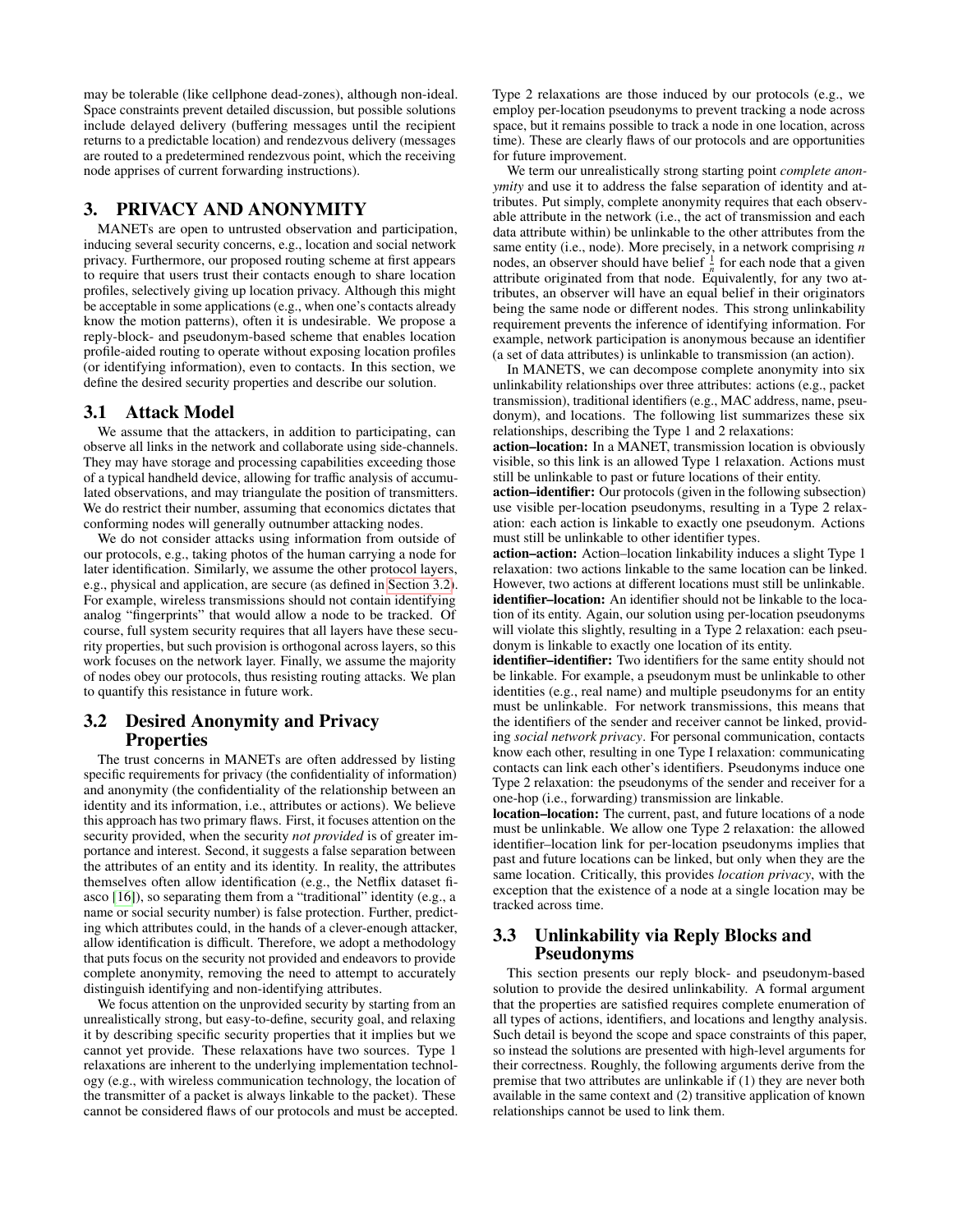may be tolerable (like cellphone dead-zones), although non-ideal. Space constraints prevent detailed discussion, but possible solutions include delayed delivery (buffering messages until the recipient returns to a predictable location) and rendezvous delivery (messages are routed to a predetermined rendezvous point, which the receiving node apprises of current forwarding instructions).

# <span id="page-3-0"></span>3. PRIVACY AND ANONYMITY

MANETs are open to untrusted observation and participation, inducing several security concerns, e.g., location and social network privacy. Furthermore, our proposed routing scheme at first appears to require that users trust their contacts enough to share location profiles, selectively giving up location privacy. Although this might be acceptable in some applications (e.g., when one's contacts already know the motion patterns), often it is undesirable. We propose a reply-block- and pseudonym-based scheme that enables location profile-aided routing to operate without exposing location profiles (or identifying information), even to contacts. In this section, we define the desired security properties and describe our solution.

#### 3.1 Attack Model

We assume that the attackers, in addition to participating, can observe all links in the network and collaborate using side-channels. They may have storage and processing capabilities exceeding those of a typical handheld device, allowing for traffic analysis of accumulated observations, and may triangulate the position of transmitters. We do restrict their number, assuming that economics dictates that conforming nodes will generally outnumber attacking nodes.

We do not consider attacks using information from outside of our protocols, e.g., taking photos of the human carrying a node for later identification. Similarly, we assume the other protocol layers, e.g., physical and application, are secure (as defined in [Section 3.2\)](#page-3-1). For example, wireless transmissions should not contain identifying analog "fingerprints" that would allow a node to be tracked. Of course, full system security requires that all layers have these security properties, but such provision is orthogonal across layers, so this work focuses on the network layer. Finally, we assume the majority of nodes obey our protocols, thus resisting routing attacks. We plan to quantify this resistance in future work.

# <span id="page-3-1"></span>3.2 Desired Anonymity and Privacy Properties

The trust concerns in MANETs are often addressed by listing specific requirements for privacy (the confidentiality of information) and anonymity (the confidentiality of the relationship between an identity and its information, i.e., attributes or actions). We believe this approach has two primary flaws. First, it focuses attention on the security provided, when the security *not provided* is of greater importance and interest. Second, it suggests a false separation between the attributes of an entity and its identity. In reality, the attributes themselves often allow identification (e.g., the Netflix dataset fiasco [\[16\]](#page-5-14)), so separating them from a "traditional" identity (e.g., a name or social security number) is false protection. Further, predicting which attributes could, in the hands of a clever-enough attacker, allow identification is difficult. Therefore, we adopt a methodology that puts focus on the security not provided and endeavors to provide complete anonymity, removing the need to attempt to accurately distinguish identifying and non-identifying attributes.

We focus attention on the unprovided security by starting from an unrealistically strong, but easy-to-define, security goal, and relaxing it by describing specific security properties that it implies but we cannot yet provide. These relaxations have two sources. Type 1 relaxations are inherent to the underlying implementation technology (e.g., with wireless communication technology, the location of the transmitter of a packet is always linkable to the packet). These cannot be considered flaws of our protocols and must be accepted. Type 2 relaxations are those induced by our protocols (e.g., we employ per-location pseudonyms to prevent tracking a node across space, but it remains possible to track a node in one location, across time). These are clearly flaws of our protocols and are opportunities for future improvement.

We term our unrealistically strong starting point *complete anonymity* and use it to address the false separation of identity and attributes. Put simply, complete anonymity requires that each observable attribute in the network (i.e., the act of transmission and each data attribute within) be unlinkable to the other attributes from the same entity (i.e., node). More precisely, in a network comprising *n* nodes, an observer should have belief  $\frac{1}{n}$  for each node that a given attribute originated from that node. Equivalently, for any two attributes, an observer will have an equal belief in their originators being the same node or different nodes. This strong unlinkability requirement prevents the inference of identifying information. For example, network participation is anonymous because an identifier (a set of data attributes) is unlinkable to transmission (an action).

In MANETS, we can decompose complete anonymity into six unlinkability relationships over three attributes: actions (e.g., packet transmission), traditional identifiers (e.g., MAC address, name, pseudonym), and locations. The following list summarizes these six relationships, describing the Type 1 and 2 relaxations:

action–location: In a MANET, transmission location is obviously visible, so this link is an allowed Type 1 relaxation. Actions must still be unlinkable to past or future locations of their entity.

action–identifier: Our protocols (given in the following subsection) use visible per-location pseudonyms, resulting in a Type 2 relaxation: each action is linkable to exactly one pseudonym. Actions must still be unlinkable to other identifier types.

action–action: Action–location linkability induces a slight Type 1 relaxation: two actions linkable to the same location can be linked. However, two actions at different locations must still be unlinkable. identifier-location: An identifier should not be linkable to the location of its entity. Again, our solution using per-location pseudonyms will violate this slightly, resulting in a Type 2 relaxation: each pseudonym is linkable to exactly one location of its entity.

identifier-identifier: Two identifiers for the same entity should not be linkable. For example, a pseudonym must be unlinkable to other identities (e.g., real name) and multiple pseudonyms for an entity must be unlinkable. For network transmissions, this means that the identifiers of the sender and receiver cannot be linked, providing *social network privacy*. For personal communication, contacts know each other, resulting in one Type I relaxation: communicating contacts can link each other's identifiers. Pseudonyms induce one Type 2 relaxation: the pseudonyms of the sender and receiver for a one-hop (i.e., forwarding) transmission are linkable.

location–location: The current, past, and future locations of a node must be unlinkable. We allow one Type 2 relaxation: the allowed identifier–location link for per-location pseudonyms implies that past and future locations can be linked, but only when they are the same location. Critically, this provides *location privacy*, with the exception that the existence of a node at a single location may be tracked across time.

# 3.3 Unlinkability via Reply Blocks and Pseudonyms

This section presents our reply block- and pseudonym-based solution to provide the desired unlinkability. A formal argument that the properties are satisfied requires complete enumeration of all types of actions, identifiers, and locations and lengthy analysis. Such detail is beyond the scope and space constraints of this paper, so instead the solutions are presented with high-level arguments for their correctness. Roughly, the following arguments derive from the premise that two attributes are unlinkable if (1) they are never both available in the same context and (2) transitive application of known relationships cannot be used to link them.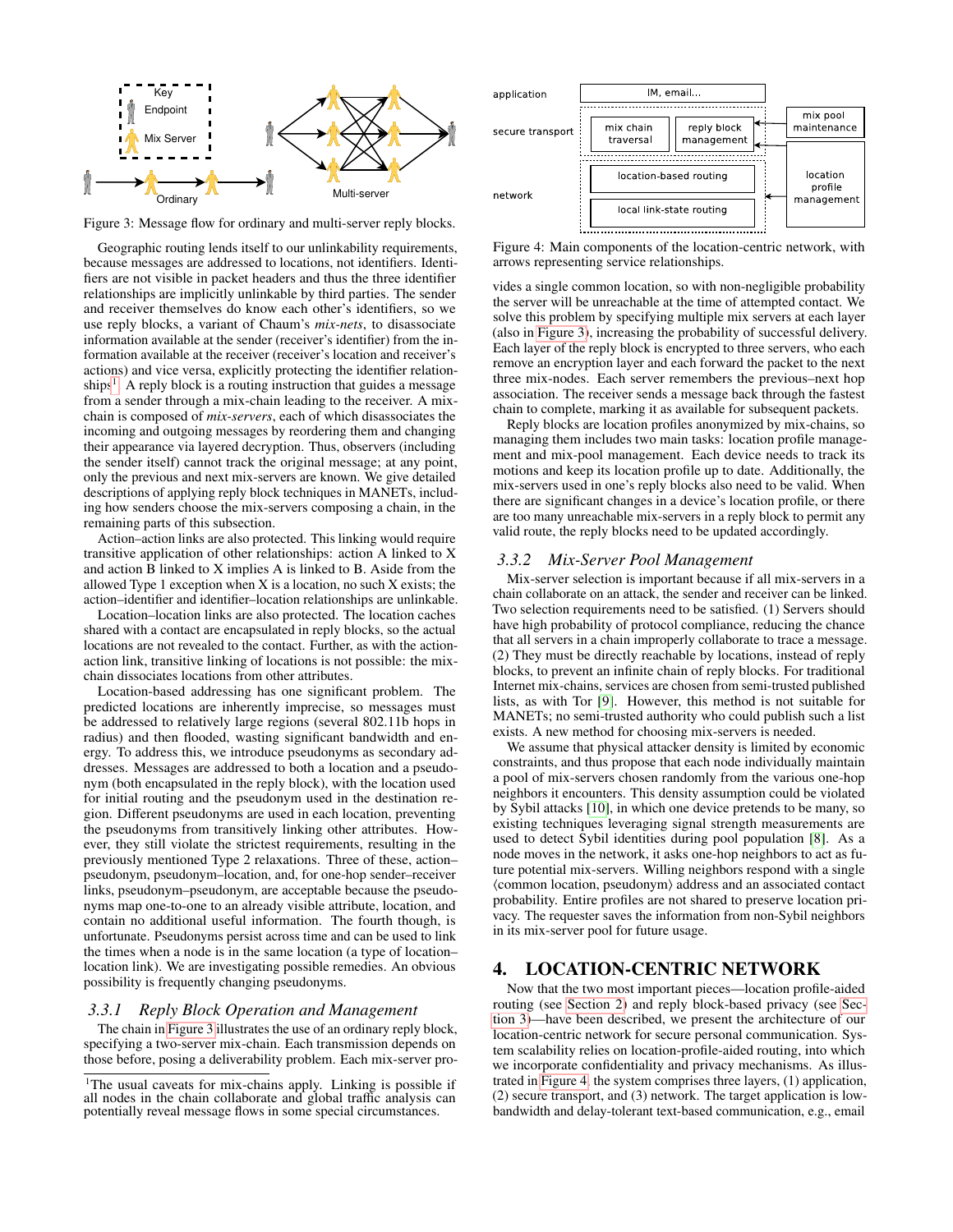<span id="page-4-2"></span>

Figure 3: Message flow for ordinary and multi-server reply blocks.

Geographic routing lends itself to our unlinkability requirements, because messages are addressed to locations, not identifiers. Identifiers are not visible in packet headers and thus the three identifier relationships are implicitly unlinkable by third parties. The sender and receiver themselves do know each other's identifiers, so we use reply blocks, a variant of Chaum's *mix-nets*, to disassociate information available at the sender (receiver's identifier) from the information available at the receiver (receiver's location and receiver's actions) and vice versa, explicitly protecting the identifier relation-ships<sup>[1](#page-4-1)</sup>. A reply block is a routing instruction that guides a message from a sender through a mix-chain leading to the receiver. A mixchain is composed of *mix-servers*, each of which disassociates the incoming and outgoing messages by reordering them and changing their appearance via layered decryption. Thus, observers (including the sender itself) cannot track the original message; at any point, only the previous and next mix-servers are known. We give detailed descriptions of applying reply block techniques in MANETs, including how senders choose the mix-servers composing a chain, in the remaining parts of this subsection.

Action–action links are also protected. This linking would require transitive application of other relationships: action A linked to X and action B linked to X implies A is linked to B. Aside from the allowed Type 1 exception when X is a location, no such X exists; the action–identifier and identifier–location relationships are unlinkable.

Location–location links are also protected. The location caches shared with a contact are encapsulated in reply blocks, so the actual locations are not revealed to the contact. Further, as with the actionaction link, transitive linking of locations is not possible: the mixchain dissociates locations from other attributes.

Location-based addressing has one significant problem. The predicted locations are inherently imprecise, so messages must be addressed to relatively large regions (several 802.11b hops in radius) and then flooded, wasting significant bandwidth and energy. To address this, we introduce pseudonyms as secondary addresses. Messages are addressed to both a location and a pseudonym (both encapsulated in the reply block), with the location used for initial routing and the pseudonym used in the destination region. Different pseudonyms are used in each location, preventing the pseudonyms from transitively linking other attributes. However, they still violate the strictest requirements, resulting in the previously mentioned Type 2 relaxations. Three of these, action– pseudonym, pseudonym–location, and, for one-hop sender–receiver links, pseudonym–pseudonym, are acceptable because the pseudonyms map one-to-one to an already visible attribute, location, and contain no additional useful information. The fourth though, is unfortunate. Pseudonyms persist across time and can be used to link the times when a node is in the same location (a type of location– location link). We are investigating possible remedies. An obvious possibility is frequently changing pseudonyms.

#### *3.3.1 Reply Block Operation and Management*

The chain in [Figure 3](#page-4-2) illustrates the use of an ordinary reply block, specifying a two-server mix-chain. Each transmission depends on those before, posing a deliverability problem. Each mix-server pro-

<span id="page-4-3"></span>

Figure 4: Main components of the location-centric network, with arrows representing service relationships.

vides a single common location, so with non-negligible probability the server will be unreachable at the time of attempted contact. We solve this problem by specifying multiple mix servers at each layer (also in [Figure 3\)](#page-4-2), increasing the probability of successful delivery. Each layer of the reply block is encrypted to three servers, who each remove an encryption layer and each forward the packet to the next three mix-nodes. Each server remembers the previous–next hop association. The receiver sends a message back through the fastest chain to complete, marking it as available for subsequent packets.

Reply blocks are location profiles anonymized by mix-chains, so managing them includes two main tasks: location profile management and mix-pool management. Each device needs to track its motions and keep its location profile up to date. Additionally, the mix-servers used in one's reply blocks also need to be valid. When there are significant changes in a device's location profile, or there are too many unreachable mix-servers in a reply block to permit any valid route, the reply blocks need to be updated accordingly.

#### *3.3.2 Mix-Server Pool Management*

Mix-server selection is important because if all mix-servers in a chain collaborate on an attack, the sender and receiver can be linked. Two selection requirements need to be satisfied. (1) Servers should have high probability of protocol compliance, reducing the chance that all servers in a chain improperly collaborate to trace a message. (2) They must be directly reachable by locations, instead of reply blocks, to prevent an infinite chain of reply blocks. For traditional Internet mix-chains, services are chosen from semi-trusted published lists, as with Tor [\[9\]](#page-5-15). However, this method is not suitable for MANETs; no semi-trusted authority who could publish such a list exists. A new method for choosing mix-servers is needed.

We assume that physical attacker density is limited by economic constraints, and thus propose that each node individually maintain a pool of mix-servers chosen randomly from the various one-hop neighbors it encounters. This density assumption could be violated by Sybil attacks [\[10\]](#page-5-16), in which one device pretends to be many, so existing techniques leveraging signal strength measurements are used to detect Sybil identities during pool population [\[8\]](#page-5-17). As a node moves in the network, it asks one-hop neighbors to act as future potential mix-servers. Willing neighbors respond with a single  $\langle$  common location, pseudonym $\rangle$  address and an associated contact probability. Entire profiles are not shared to preserve location privacy. The requester saves the information from non-Sybil neighbors in its mix-server pool for future usage.

# <span id="page-4-0"></span>4. LOCATION-CENTRIC NETWORK

Now that the two most important pieces—location profile-aided routing (see [Section 2\)](#page-1-0) and reply block-based privacy (see [Sec](#page-3-0)[tion 3\)](#page-3-0)—have been described, we present the architecture of our location-centric network for secure personal communication. System scalability relies on location-profile-aided routing, into which we incorporate confidentiality and privacy mechanisms. As illustrated in [Figure 4,](#page-4-3) the system comprises three layers, (1) application, (2) secure transport, and (3) network. The target application is lowbandwidth and delay-tolerant text-based communication, e.g., email

<span id="page-4-1"></span><sup>&</sup>lt;sup>1</sup>The usual caveats for mix-chains apply. Linking is possible if all nodes in the chain collaborate and global traffic analysis can potentially reveal message flows in some special circumstances.